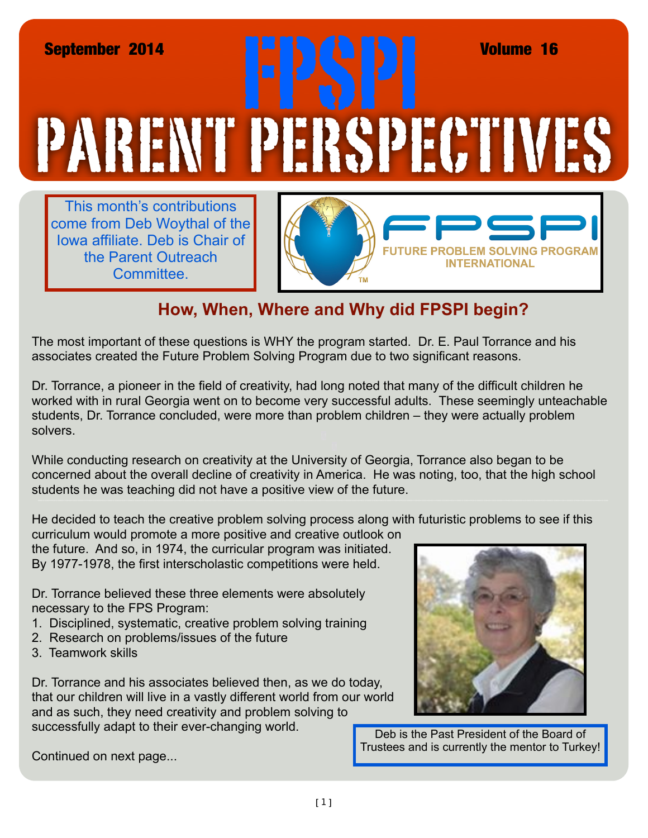## PARENT PERSPECTIVES September 2014<br> **FRANCIS (REV. 1988)**<br>
TRANCIS (REV. 1988)<br>
TRANCIS (REV. 1988)<br>
TRANCIS (REV. 1988)<br>
TRANCIS (REV. 1988)<br>
TRANCIS (REV. 1989)

This month's contributions come from Deb Woythal of the Iowa affiliate. Deb is Chair of the Parent Outreach Committee.



## **How, When, Where and Why did FPSPI begin?**

The most important of these questions is WHY the program started. Dr. E. Paul Torrance and his associates created the Future Problem Solving Program due to two significant reasons.

Dr. Torrance, a pioneer in the field of creativity, had long noted that many of the difficult children he worked with in rural Georgia went on to become very successful adults. These seemingly unteachable students, Dr. Torrance concluded, were more than problem children – they were actually problem solvers.

While conducting research on creativity at the University of Georgia, Torrance also began to be concerned about the overall decline of creativity in America. He was noting, too, that the high school students he was teaching did not have a positive view of the future.

He decided to teach the creative problem solving process along with futuristic problems to see if this

curriculum would promote a more positive and creative outlook on the future. And so, in 1974, the curricular program was initiated. By 1977-1978, the first interscholastic competitions were held.

Dr. Torrance believed these three elements were absolutely necessary to the FPS Program:

- 1. Disciplined, systematic, creative problem solving training
- 2. Research on problems/issues of the future
- 3. Teamwork skills

Dr. Torrance and his associates believed then, as we do today, that our children will live in a vastly different world from our world and as such, they need creativity and problem solving to successfully adapt to their ever-changing world.

Deb is the Past President of the Board of Trustees and is currently the mentor to Turkey!

Continued on next page...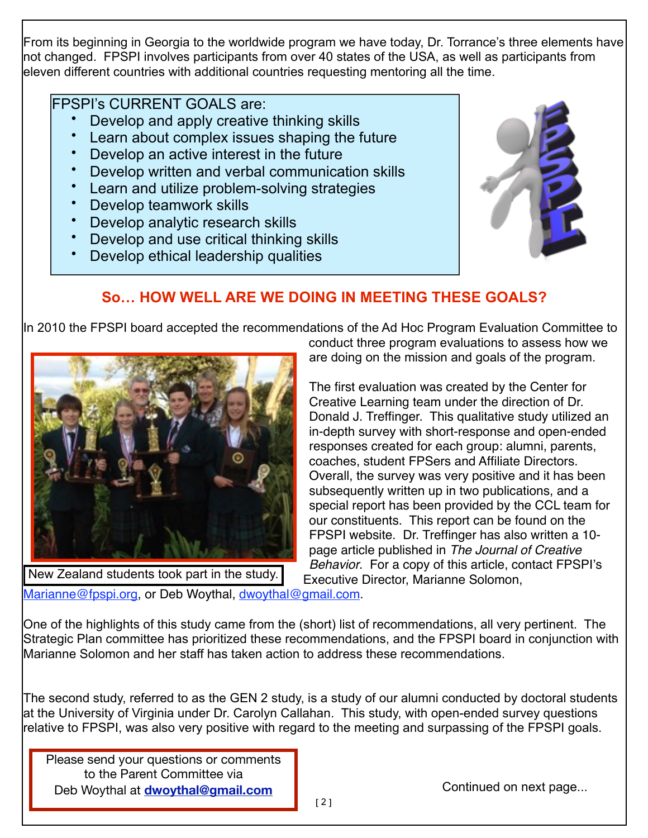From its beginning in Georgia to the worldwide program we have today, Dr. Torrance's three elements have not changed. FPSPI involves participants from over 40 states of the USA, as well as participants from eleven different countries with additional countries requesting mentoring all the time.

## FPSPI's CURRENT GOALS are:

- Develop and apply creative thinking skills
- Learn about complex issues shaping the future
- Develop an active interest in the future
- Develop written and verbal communication skills
- Learn and utilize problem-solving strategies
- Develop teamwork skills
- Develop analytic research skills
- Develop and use critical thinking skills
- Develop ethical leadership qualities



## **So… HOW WELL ARE WE DOING IN MEETING THESE GOALS?**

In 2010 the FPSPI board accepted the recommendations of the Ad Hoc Program Evaluation Committee to



New Zealand students took part in the study.

conduct three program evaluations to assess how we are doing on the mission and goals of the program.

The first evaluation was created by the Center for Creative Learning team under the direction of Dr. Donald J. Treffinger. This qualitative study utilized an in-depth survey with short-response and open-ended responses created for each group: alumni, parents, coaches, student FPSers and Affiliate Directors. Overall, the survey was very positive and it has been subsequently written up in two publications, and a special report has been provided by the CCL team for our constituents. This report can be found on the FPSPI website. Dr. Treffinger has also written a 10 page article published in *The Journal of Creative Behavior*. For a copy of this article, contact FPSPI's Executive Director, Marianne Solomon,

[Marianne@fpspi.org,](mailto:Marianne@fpspi.org) or Deb Woythal, [dwoythal@gmail.com.](mailto:dwoythal@gmail.com)

One of the highlights of this study came from the (short) list of recommendations, all very pertinent. The Strategic Plan committee has prioritized these recommendations, and the FPSPI board in conjunction with Marianne Solomon and her staff has taken action to address these recommendations.

The second study, referred to as the GEN 2 study, is a study of our alumni conducted by doctoral students at the University of Virginia under Dr. Carolyn Callahan. This study, with open-ended survey questions relative to FPSPI, was also very positive with regard to the meeting and surpassing of the FPSPI goals.

**Deb Woythal at [dwoythal@gmail.com](mailto:dwoythal@gmail.com) continued on next page...** Continued on next page... Please send your questions or comments to the Parent Committee via